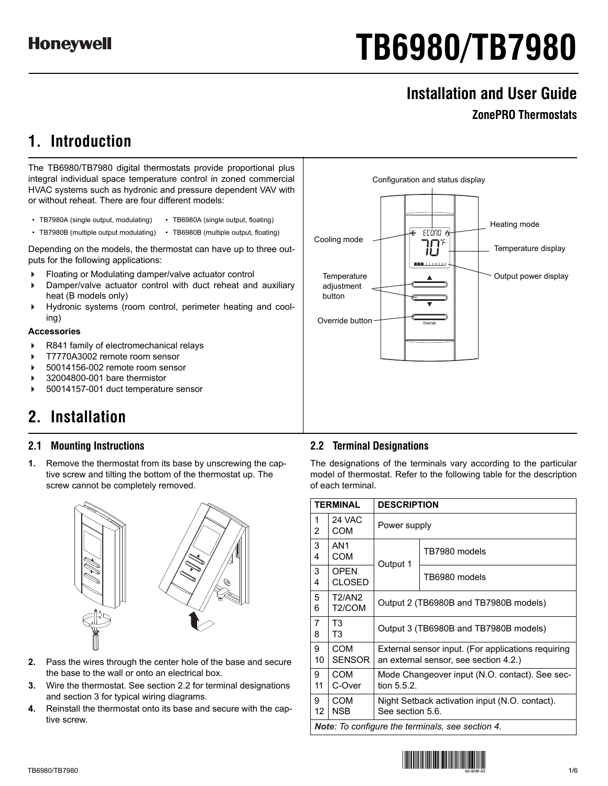# **TB6980/TB7980**

Configuration and status display

 $ECDTO$   $\alpha$ I۴

**LITTLE** 

Temperature  $\|\cdot\|$   $\wedge$   $\|\cdot\|$  Output power display

# **Installation and User Guide**

## **ZonePRO Thermostats**

Heating mode

Temperature display

# **1. Introduction**

The TB6980/TB7980 digital thermostats provide proportional plus integral individual space temperature control in zoned commercial HVAC systems such as hydronic and pressure dependent VAV with or without reheat. There are four different models:

- TB7980A (single output, modulating) TB6980A (single output, floating)
- TB7980B (multiple output modulating) TB6980B (multiple output, floating)

Depending on the models, the thermostat can have up to three outputs for the following applications:

- Floating or Modulating damper/valve actuator control
- Damper/valve actuator control with duct reheat and auxiliary heat (B models only)
- Hydronic systems (room control, perimeter heating and cooling)

## **Accessories**

- ▶ R841 family of electromechanical relays
- T7770A3002 remote room sensor
- 50014156-002 remote room sensor
- 32004800-001 bare thermistor
- 50014157-001 duct temperature sensor

# **2. Installation**

## **2.1 Mounting Instructions**

**1.** Remove the thermostat from its base by unscrewing the captive screw and tilting the bottom of the thermostat up. The screw cannot be completely removed.



- **2.** Pass the wires through the center hole of the base and secure the base to the wall or onto an electrical box.
- **3.** Wire the thermostat. See section 2.2 for terminal designations and section 3 for typical wiring diagrams.
- **4.** Reinstall the thermostat onto its base and secure with the captive screw.

## **2.2 Terminal Designations**

adjustment button

Override button

Cooling mode

The designations of the terminals vary according to the particular model of thermostat. Refer to the following table for the description of each terminal.

|                                                  | <b>TERMINAL</b>                      | <b>DESCRIPTION</b>                                                                          |                                       |  |  |  |  |  |  |
|--------------------------------------------------|--------------------------------------|---------------------------------------------------------------------------------------------|---------------------------------------|--|--|--|--|--|--|
| 1<br>2                                           | 24 VAC<br>COM                        |                                                                                             | Power supply                          |  |  |  |  |  |  |
| 3<br>4                                           | AN <sub>1</sub><br>COM               | Output 1                                                                                    | TB7980 models                         |  |  |  |  |  |  |
| 3<br>4                                           | <b>OPEN</b><br><b>CLOSED</b>         |                                                                                             | TB6980 models                         |  |  |  |  |  |  |
| 5<br>6                                           | <b>T2/AN2</b><br>T <sub>2</sub> /COM |                                                                                             | Output 2 (TB6980B and TB7980B models) |  |  |  |  |  |  |
| 7<br>8                                           | T <sub>3</sub><br>T3                 | Output 3 (TB6980B and TB7980B models)                                                       |                                       |  |  |  |  |  |  |
| 9<br>10                                          | COM<br><b>SENSOR</b>                 | External sensor input. (For applications requiring<br>an external sensor, see section 4.2.) |                                       |  |  |  |  |  |  |
| 9<br>11                                          | COM<br>C-Over                        | Mode Changeover input (N.O. contact). See sec-<br>tion 5.5.2.                               |                                       |  |  |  |  |  |  |
| 9<br>12                                          | COM<br><b>NSB</b>                    | Night Setback activation input (N.O. contact).<br>See section 5.6.                          |                                       |  |  |  |  |  |  |
| Note: To configure the terminals, see section 4. |                                      |                                                                                             |                                       |  |  |  |  |  |  |

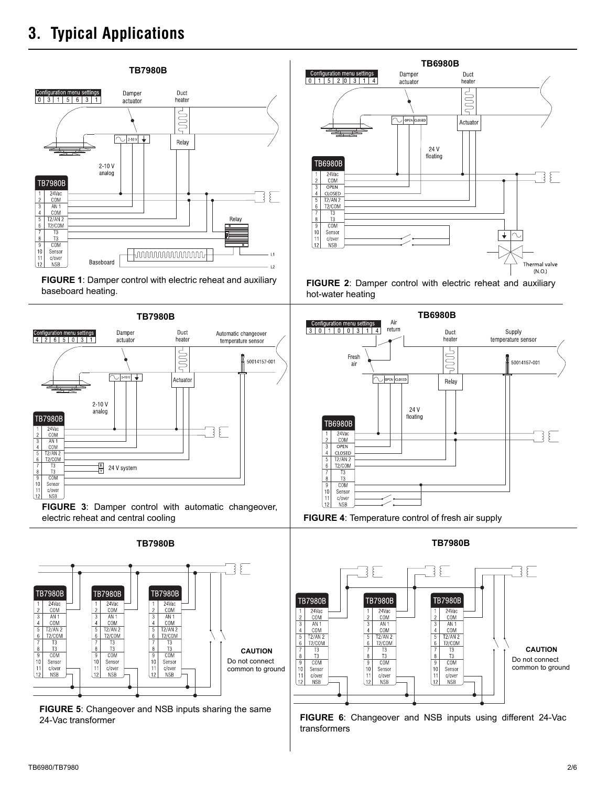# **3. Typical Applications**







**FIGURE 3**: Damper control with automatic changeover, electric reheat and central cooling



**FIGURE 5**: Changeover and NSB inputs sharing the same



**FIGURE 2**: Damper control with electric reheat and auxiliary hot-water heating



**FIGURE 4**: Temperature control of fresh air supply



24-Vac transformer **FIGURE 6**: Changeover and NSB inputs using different 24-Vac transformers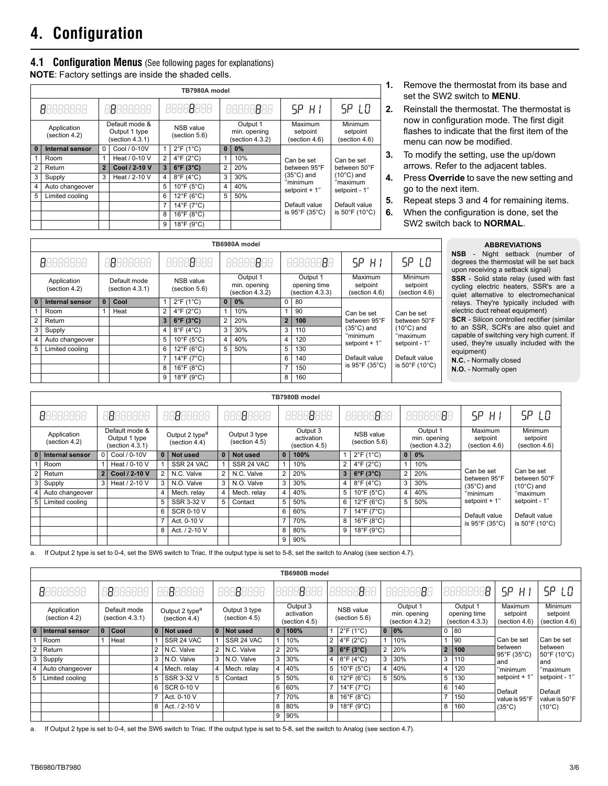# **4. Configuration**

## **4.1 Configuration Menus** (See following pages for explanations)

**NOTE**: Factory settings are inside the shaded cells.

|                      | TB7980A model                |                |                                                    |                         |                                   |                                             |       |                                      |                                      |  |
|----------------------|------------------------------|----------------|----------------------------------------------------|-------------------------|-----------------------------------|---------------------------------------------|-------|--------------------------------------|--------------------------------------|--|
| 18888888<br>88888888 |                              |                | 8888 <b>8</b> 888                                  |                         | 88888888                          | 5P H I                                      | SP LO |                                      |                                      |  |
|                      | Application<br>(section 4.2) |                | Default mode &<br>Output 1 type<br>(section 4.3.1) |                         | <b>NSB</b> value<br>(section 5.6) | Output 1<br>min. opening<br>(section 4.3.2) |       | Maximum<br>setpoint<br>(section 4.6) | Minimum<br>setpoint<br>(section 4.6) |  |
| $\Omega$             | Internal sensor              | 0              | Cool / 0-10V                                       | 1                       | $2^{\circ}$ F (1 $^{\circ}$ C)    | $\mathbf{0}$                                | 0%    |                                      |                                      |  |
|                      | Room                         |                | Heat / 0-10 V                                      | 2                       | $4^{\circ}$ F (2 $^{\circ}$ C)    | 1                                           | 10%   | Can be set                           | Can be set                           |  |
| $\overline{2}$       | Return                       | $\overline{2}$ | Cool / 2-10 V                                      | $\overline{\mathbf{3}}$ | $6^{\circ}$ F (3 $^{\circ}$ C)    | $\overline{2}$                              | 20%   | between 95°F                         | between 50°F                         |  |
| 3                    | Supply                       | 3              | Heat / 2-10 V                                      | 4                       | $8^{\circ}$ F (4 $^{\circ}$ C)    | 3                                           | 30%   | $(35^{\circ}C)$ and                  | $(10^{\circ}C)$ and                  |  |
| 4                    | Auto changeover              |                |                                                    | 5                       | $10^{\circ}$ F (5°C)              | 4                                           | 40%   | "minimum<br>setpoint $+1$ "          | "maximum<br>setpoint - 1"            |  |
| 5                    | Limited cooling              |                |                                                    | 6                       | $12^{\circ}$ F (6°C)              | 5                                           | 50%   |                                      |                                      |  |
|                      |                              |                |                                                    | 7                       | $14^{\circ}$ F (7°C)              |                                             |       | Default value                        | Default value                        |  |
|                      |                              |                |                                                    | 8                       | $16^{\circ}$ F (8°C)              |                                             |       | is $95^{\circ}$ F (35 $^{\circ}$ C)  | is 50°F (10°C)                       |  |
|                      |                              |                |                                                    | 9                       | $18^{\circ}$ F (9 $^{\circ}$ C)   |                                             |       |                                      |                                      |  |

- **1.** Remove the thermostat from its base and set the SW2 switch to **MENU**.
- **2.** Reinstall the thermostat. The thermostat is now in configuration mode. The first digit flashes to indicate that the first item of the menu can now be modified.
- **3.** To modify the setting, use the up/down arrows. Refer to the adjacent tables.
- **4.** Press **Override** to save the new setting and go to the next item.
- **5.** Repeat steps 3 and 4 for remaining items.
- **6.** When the configuration is done, set the SW2 switch back to **NORMAL**.

 $\mathbf{I}$ 

|                          | <b>ABBREVIATIONS</b> |                          |  |
|--------------------------|----------------------|--------------------------|--|
| $\overline{\phantom{a}}$ |                      | Night setback (number of |  |

|                | 8888888                      | 18888888                        |                | 88888888                        |                | 88888888                                    |                | 8888888                                     | SP.<br>$H$ $\vdash$                  | SP LO                                        | <b>NSB</b><br>- Night setback (number of<br>degrees the thermostat will be set back<br>upon receiving a setback signal)    |                                                                                       |
|----------------|------------------------------|---------------------------------|----------------|---------------------------------|----------------|---------------------------------------------|----------------|---------------------------------------------|--------------------------------------|----------------------------------------------|----------------------------------------------------------------------------------------------------------------------------|---------------------------------------------------------------------------------------|
|                | Application<br>(section 4.2) | Default mode<br>(section 4.3.1) |                | NSB value<br>(section 5.6)      |                | Output 1<br>min. opening<br>(section 4.3.2) |                | Output 1<br>opening time<br>(section 4.3.3) | Maximum<br>setpoint<br>(section 4.6) | Minimum<br>setpoint<br>(section 4.6)         | SSR - Solid state relay (used with fast<br>cycling electric heaters, SSR's are a<br>quiet alternative to electromechanical |                                                                                       |
| $\Omega$       | Internal sensor              | Cool                            |                | $2^{\circ}$ F (1 $^{\circ}$ C)  |                | $0   0\%$                                   | 0              | 80                                          |                                      |                                              | relays. They're typically included with                                                                                    |                                                                                       |
|                | Room                         | Heat                            | $\overline{2}$ | $4^{\circ}$ F (2 $^{\circ}$ C)  |                | 10%                                         |                | 90                                          | Can be set                           | Can be set                                   | electric duct reheat equipment)<br><b>SCR</b> - Silicon controlled rectifier (similar                                      |                                                                                       |
| $\overline{2}$ | Return                       |                                 |                | $3 6^{\circ}F(3^{\circ}C)$      | $\overline{2}$ | 20%                                         | 2 <sup>1</sup> | 100                                         | between 95°F                         | between 50°F                                 |                                                                                                                            |                                                                                       |
| 3              | Supply                       |                                 | 4              | $8^{\circ}$ F (4 $^{\circ}$ C)  | 3              | 30%                                         | 3              | 110                                         | $(35^{\circ}C)$ and                  | $(10^{\circ}C)$ and                          | to an SSR, SCR's are also quiet and                                                                                        |                                                                                       |
|                | Auto changeover              |                                 | 5              | $10^{\circ}$ F (5°C)            | $4^{\circ}$    | 40%                                         | $\overline{4}$ | 120                                         | "minimum                             | "maximum<br>setpoint $+1$ "<br>setpoint - 1" |                                                                                                                            | capable of switching very high current. If<br>used, they're usually included with the |
| 5              | Limited cooling              |                                 | 6              | $12^{\circ}$ F (6 $^{\circ}$ C) | 5              | 50%                                         | 5              | 130                                         |                                      |                                              | equipment)                                                                                                                 |                                                                                       |
|                |                              |                                 |                | $14^{\circ}$ F (7 $^{\circ}$ C) |                |                                             | 6              | 140                                         | Default value                        | Default value                                | N.C. - Normally closed                                                                                                     |                                                                                       |
|                |                              |                                 | 8              | $16^{\circ}$ F (8 $^{\circ}$ C) |                |                                             | $\overline{ }$ | 150                                         | is $95^{\circ}$ F (35 $^{\circ}$ C)  | is 50°F (10°C)                               | N.O. - Normally open                                                                                                       |                                                                                       |
|                |                              |                                 | 9              | $18^{\circ}$ F (9 $^{\circ}$ C) |                |                                             | 8              | 160                                         |                                      |                                              |                                                                                                                            |                                                                                       |

**TB6980A model**

|                                       | TB7980B model   |                                                    |               |                                             |                   |                                |             |                                         |      |                                   |                                 |                |                                             |                                      |                                      |
|---------------------------------------|-----------------|----------------------------------------------------|---------------|---------------------------------------------|-------------------|--------------------------------|-------------|-----------------------------------------|------|-----------------------------------|---------------------------------|----------------|---------------------------------------------|--------------------------------------|--------------------------------------|
| 88888888<br>18888888<br>1888888<br>HΕ |                 | 188888<br>881                                      |               | 18888<br>886                                |                   | 1888<br>88888                  |             | ΒE<br>88888                             |      | SP.<br>-H I                       | <b>SP LO</b>                    |                |                                             |                                      |                                      |
| Application<br>(section 4.2)          |                 | Default mode &<br>Output 1 type<br>(section 4.3.1) |               | Output 2 type <sup>a</sup><br>(section 4.4) |                   | Output 3 type<br>(section 4.5) |             | Output 3<br>activation<br>(section 4.5) |      | <b>NSB</b> value<br>(section 5.6) |                                 |                | Output 1<br>min. opening<br>(section 4.3.2) | Maximum<br>setpoint<br>(section 4.6) | Minimum<br>setpoint<br>(section 4.6) |
| $\overline{0}$                        | Internal sensor | $\Omega$                                           | Cool / 0-10V  | $\Omega$                                    | Not used          | $\Omega$                       | Not used    | $\bf{0}$                                | 100% |                                   | $2^{\circ}$ F (1 $^{\circ}$ C)  |                | $0$ 0%                                      |                                      |                                      |
|                                       | Room            |                                                    | Heat / 0-10 V |                                             | SSR 24 VAC        |                                | SSR 24 VAC  |                                         | 10%  | 2                                 | $4^{\circ}$ F (2 $^{\circ}$ C)  |                | 10%                                         |                                      |                                      |
| 2 <sub>1</sub>                        | Return          | $\overline{2}$                                     | Cool / 2-10 V |                                             | N.C. Valve        | 2 <sup>1</sup>                 | N.C. Valve  | $\overline{2}$                          | 20%  | 3                                 | $6^{\circ}F(3^{\circ}C)$        | 2              | 20%                                         | Can be set<br>between 95°F           | Can be set<br>between 50°F           |
| 3 <sub>l</sub>                        | Supply          | 3                                                  | Heat / 2-10 V | 3                                           | N.O. Valve        | 3 <sup>1</sup>                 | N.O. Valve  | 3                                       | 30%  | 4                                 | $8^{\circ}$ F (4 $^{\circ}$ C)  | 3              | 30%                                         | $(35^{\circ}C)$ and                  | $(10^{\circ}C)$ and                  |
|                                       | Auto changeover |                                                    |               | 4                                           | Mech. relay       | 4                              | Mech. relay | 4                                       | 40%  | 5                                 | $10^{\circ}$ F (5°C)            | $\overline{4}$ | 40%                                         | "minimum                             | "maximum                             |
| 5                                     | Limited cooling |                                                    |               | 5                                           | SSR 3-32 V        | 5                              | Contact     | 5                                       | 50%  | 6                                 | $12^{\circ}$ F (6°C)            | 5              | 50%                                         | setpoint $+1$ "                      | setpoint - 1"                        |
|                                       |                 |                                                    |               | 6                                           | <b>SCR 0-10 V</b> |                                |             | 6                                       | 60%  |                                   | 14°F (7°C)                      |                |                                             | Default value                        | Default value                        |
|                                       |                 |                                                    |               |                                             | Act. 0-10 V       |                                |             | 7                                       | 70%  | 8                                 | $16^{\circ}$ F (8 $^{\circ}$ C) |                |                                             | is $95^{\circ}$ F (35 $^{\circ}$ C)  | is 50°F (10°C)                       |
|                                       |                 |                                                    |               | 8                                           | Act. / 2-10 V     |                                |             | 8                                       | 80%  | 9                                 | $18^{\circ}$ F (9 $^{\circ}$ C) |                |                                             |                                      |                                      |
|                                       |                 |                                                    |               |                                             |                   |                                |             | 9                                       | 90%  |                                   |                                 |                |                                             |                                      |                                      |

a. If Output 2 type is set to 0-4, set the SW6 switch to Triac. If the output type is set to 5-8, set the switch to Analog (see section 4.7).

|                | TB6980B model                |          |                                 |                |                                             |                |                                |                                         |               |                |                                   |                         |                                             |                |                                             |                                      |                                      |
|----------------|------------------------------|----------|---------------------------------|----------------|---------------------------------------------|----------------|--------------------------------|-----------------------------------------|---------------|----------------|-----------------------------------|-------------------------|---------------------------------------------|----------------|---------------------------------------------|--------------------------------------|--------------------------------------|
|                | 88888888                     |          | 8888888                         |                | 3888888                                     |                | 38888<br>88                    |                                         | 38888<br>8886 |                | 1888<br>8888                      |                         | 88888888                                    |                | Β<br>888886                                 | SP.<br>НI                            | <b>SP LD</b>                         |
|                | Application<br>(section 4.2) |          | Default mode<br>(section 4.3.1) |                | Output 2 type <sup>a</sup><br>(section 4.4) |                | Output 3 type<br>(section 4.5) | Output 3<br>activation<br>(section 4.5) |               |                | <b>NSB</b> value<br>(section 5.6) |                         | Output 1<br>min. opening<br>(section 4.3.2) |                | Output 1<br>opening time<br>(section 4.3.3) | Maximum<br>setpoint<br>(section 4.6) | Minimum<br>setpoint<br>(section 4.6) |
| $\mathbf{0}$   | Internal sensor              | $\bf{0}$ | Cool                            | $\mathbf{0}$   | Not used                                    |                | 0 Not used                     | $\mathbf{0}$                            | 100%          |                | $2^{\circ}F(1^{\circ}C)$          | $\overline{\mathbf{0}}$ | 0%                                          |                | $0$ 80                                      |                                      |                                      |
|                | Room                         |          | Heat                            |                | SSR 24 VAC                                  |                | SSR 24 VAC                     |                                         | 10%           |                | 2 $4^{\circ}F(2^{\circ}C)$        |                         | 10%                                         |                | 90                                          | Can be set                           | Can be set                           |
| $\overline{2}$ | Return                       |          |                                 | $\overline{2}$ | N.C. Valve                                  | $\overline{2}$ | N.C. Valve                     | 2                                       | 20%           |                | $3 \mid 6^{\circ}F(3^{\circ}C)$   | 2                       | 20%                                         | $\overline{2}$ | 100                                         | between<br>95°F (35°C)               | between<br>50°F (10°C)               |
| 3              | Supply                       |          |                                 | 3              | N.O. Valve                                  | 3              | N.O. Valve                     | 3                                       | 30%           | $\overline{4}$ | $8^{\circ}$ F (4 $^{\circ}$ C)    | 3                       | 30%                                         | 3              | 110                                         | and                                  | and                                  |
|                | Auto changeover              |          |                                 | 4              | Mech. relay                                 | 4              | Mech. relay                    | 4                                       | 40%           | $5^{\circ}$    | $10^{\circ}$ F (5°C)              | 4                       | 40%                                         | 4              | 120                                         | 'minimum                             | "maximum                             |
| 5              | Limited cooling              |          |                                 | 5              | SSR 3-32 V                                  | 5              | Contact                        | 5                                       | 50%           | 6              | $12^{\circ}$ F (6°C)              | 5                       | 50%                                         | 5              | 130                                         | setpoint $+1$ "                      | setpoint - 1"                        |
|                |                              |          |                                 | 6              | <b>SCR 0-10 V</b>                           |                |                                | 6                                       | 60%           | $\overline{7}$ | $14^{\circ}$ F (7 $^{\circ}$ C)   |                         |                                             | 6              | 140                                         | Default                              | Default                              |
|                |                              |          |                                 |                | Act. 0-10 V                                 |                |                                |                                         | 70%           | 8              | $16^{\circ}$ F (8 $^{\circ}$ C)   |                         |                                             |                | 150                                         | value is 95°F                        | value is 50°F                        |
|                |                              |          |                                 | 8              | Act. / 2-10 V                               |                |                                | 8                                       | 80%           | 9              | $18^{\circ}$ F (9 $^{\circ}$ C)   |                         |                                             | 8              | 160                                         | $(35^{\circ}C)$                      | $(10^{\circ}C)$                      |
|                |                              |          |                                 |                |                                             |                |                                | 9                                       | 90%           |                |                                   |                         |                                             |                |                                             |                                      |                                      |

a. If Output 2 type is set to 0-4, set the SW6 switch to Triac. If the output type is set to 5-8, set the switch to Analog (see section 4.7).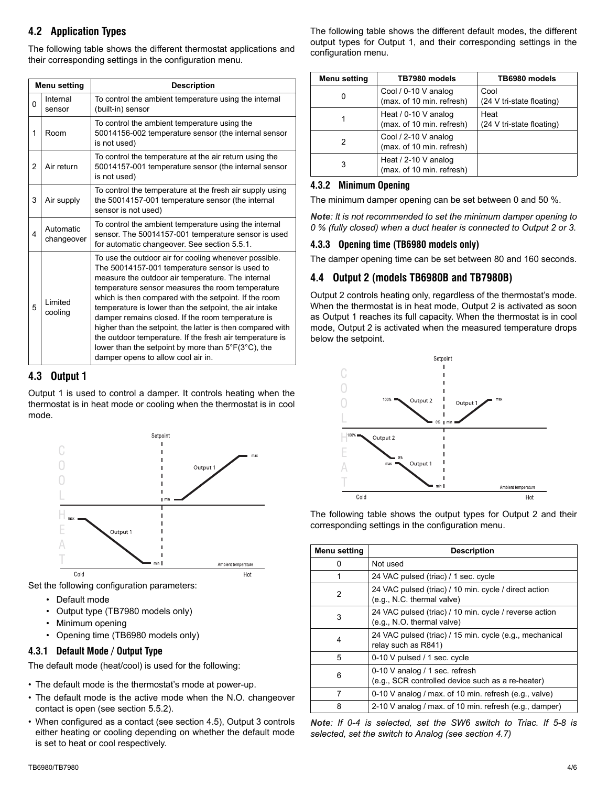## **4.2 Application Types**

The following table shows the different thermostat applications and their corresponding settings in the configuration menu.

| Menu setting |                         | <b>Description</b>                                                                                                                                                                                                                                                                                                                                                                                                                                                                                                                                                                                             |  |  |  |  |  |
|--------------|-------------------------|----------------------------------------------------------------------------------------------------------------------------------------------------------------------------------------------------------------------------------------------------------------------------------------------------------------------------------------------------------------------------------------------------------------------------------------------------------------------------------------------------------------------------------------------------------------------------------------------------------------|--|--|--|--|--|
| 0            | Internal<br>sensor      | To control the ambient temperature using the internal<br>(built-in) sensor                                                                                                                                                                                                                                                                                                                                                                                                                                                                                                                                     |  |  |  |  |  |
| 1            | Room                    | To control the ambient temperature using the<br>50014156-002 temperature sensor (the internal sensor<br>is not used)                                                                                                                                                                                                                                                                                                                                                                                                                                                                                           |  |  |  |  |  |
| 2            | Air return              | To control the temperature at the air return using the<br>50014157-001 temperature sensor (the internal sensor<br>is not used)                                                                                                                                                                                                                                                                                                                                                                                                                                                                                 |  |  |  |  |  |
| 3            | Air supply              | To control the temperature at the fresh air supply using<br>the 50014157-001 temperature sensor (the internal<br>sensor is not used)                                                                                                                                                                                                                                                                                                                                                                                                                                                                           |  |  |  |  |  |
| 4            | Automatic<br>changeover | To control the ambient temperature using the internal<br>sensor. The 50014157-001 temperature sensor is used<br>for automatic changeover. See section 5.5.1.                                                                                                                                                                                                                                                                                                                                                                                                                                                   |  |  |  |  |  |
| 5            | Limited<br>cooling      | To use the outdoor air for cooling whenever possible.<br>The 50014157-001 temperature sensor is used to<br>measure the outdoor air temperature. The internal<br>temperature sensor measures the room temperature<br>which is then compared with the setpoint. If the room<br>temperature is lower than the setpoint, the air intake<br>damper remains closed. If the room temperature is<br>higher than the setpoint, the latter is then compared with<br>the outdoor temperature. If the fresh air temperature is<br>lower than the setpoint by more than 5°F(3°C), the<br>damper opens to allow cool air in. |  |  |  |  |  |

## **4.3 Output 1**

Output 1 is used to control a damper. It controls heating when the thermostat is in heat mode or cooling when the thermostat is in cool mode.



Set the following configuration parameters:

- Default mode
- Output type (TB7980 models only)
- Minimum opening
- Opening time (TB6980 models only)

## **4.3.1 Default Mode / Output Type**

The default mode (heat/cool) is used for the following:

- The default mode is the thermostat's mode at power-up.
- The default mode is the active mode when the N.O. changeover contact is open (see section 5.5.2).
- When configured as a contact (see section 4.5), Output 3 controls either heating or cooling depending on whether the default mode is set to heat or cool respectively.

The following table shows the different default modes, the different output types for Output 1, and their corresponding settings in the configuration menu.

| Menu setting | TB7980 models                                       | TB6980 models                     |
|--------------|-----------------------------------------------------|-----------------------------------|
|              | Cool / 0-10 V analog<br>(max. of 10 min. refresh)   | Cool<br>(24 V tri-state floating) |
|              | Heat / $0-10$ V analog<br>(max. of 10 min. refresh) | Heat<br>(24 V tri-state floating) |
| 2            | Cool / 2-10 V analog<br>(max. of 10 min. refresh)   |                                   |
| 3            | Heat / 2-10 V analog<br>(max. of 10 min. refresh)   |                                   |

## **4.3.2 Minimum Opening**

The minimum damper opening can be set between 0 and 50 %.

*Note: It is not recommended to set the minimum damper opening to 0 % (fully closed) when a duct heater is connected to Output 2 or 3.*

## **4.3.3 Opening time (TB6980 models only)**

The damper opening time can be set between 80 and 160 seconds.

## **4.4 Output 2 (models TB6980B and TB7980B)**

Output 2 controls heating only, regardless of the thermostat's mode. When the thermostat is in heat mode, Output 2 is activated as soon as Output 1 reaches its full capacity. When the thermostat is in cool mode, Output 2 is activated when the measured temperature drops below the setpoint.



The following table shows the output types for Output 2 and their corresponding settings in the configuration menu.

| Menu setting | <b>Description</b>                                                                   |
|--------------|--------------------------------------------------------------------------------------|
| O            | Not used                                                                             |
|              | 24 VAC pulsed (triac) / 1 sec. cycle                                                 |
| 2            | 24 VAC pulsed (triac) / 10 min. cycle / direct action<br>(e.g., N.C. thermal valve)  |
| 3            | 24 VAC pulsed (triac) / 10 min. cycle / reverse action<br>(e.g., N.O. thermal valve) |
| 4            | 24 VAC pulsed (triac) / 15 min. cycle (e.g., mechanical<br>relay such as R841)       |
| 5            | 0-10 V pulsed / 1 sec. cycle                                                         |
| 6            | 0-10 V analog / 1 sec. refresh<br>(e.g., SCR controlled device such as a re-heater)  |
| 7            | 0-10 V analog / max. of 10 min. refresh (e.g., valve)                                |
| 8            | 2-10 V analog / max. of 10 min. refresh (e.g., damper)                               |

*Note: If 0-4 is selected, set the SW6 switch to Triac. If 5-8 is selected, set the switch to Analog (see section 4.7)*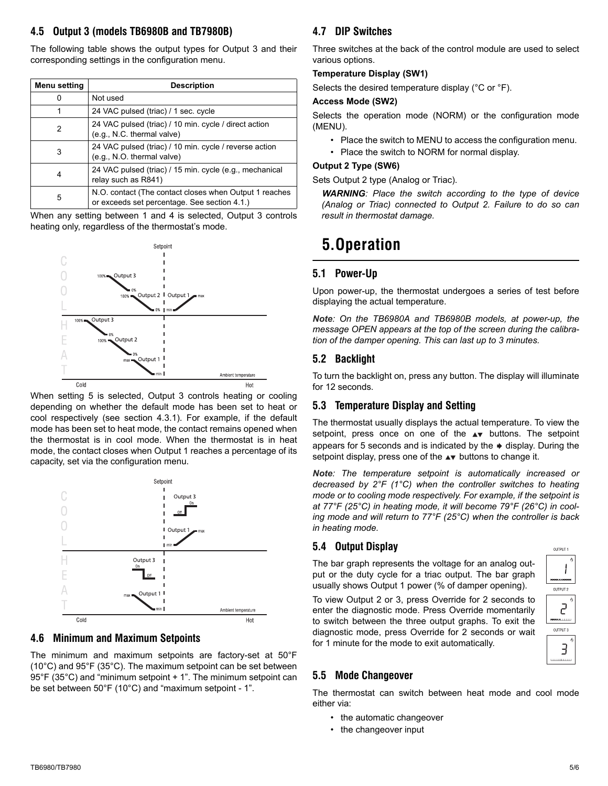## **4.5 Output 3 (models TB6980B and TB7980B)**

The following table shows the output types for Output 3 and their corresponding settings in the configuration menu.

| Menu setting | <b>Description</b>                                                                                     |  |  |  |  |  |  |
|--------------|--------------------------------------------------------------------------------------------------------|--|--|--|--|--|--|
| 0            | Not used                                                                                               |  |  |  |  |  |  |
| 1            | 24 VAC pulsed (triac) / 1 sec. cycle                                                                   |  |  |  |  |  |  |
| 2            | 24 VAC pulsed (triac) / 10 min. cycle / direct action<br>(e.g., N.C. thermal valve)                    |  |  |  |  |  |  |
| 3            | 24 VAC pulsed (triac) / 10 min. cycle / reverse action<br>(e.g., N.O. thermal valve)                   |  |  |  |  |  |  |
| 4            | 24 VAC pulsed (triac) / 15 min. cycle (e.g., mechanical<br>relay such as R841)                         |  |  |  |  |  |  |
| 5            | N.O. contact (The contact closes when Output 1 reaches<br>or exceeds set percentage. See section 4.1.) |  |  |  |  |  |  |

When any setting between 1 and 4 is selected, Output 3 controls heating only, regardless of the thermostat's mode.



When setting 5 is selected, Output 3 controls heating or cooling depending on whether the default mode has been set to heat or cool respectively (see section 4.3.1). For example, if the default mode has been set to heat mode, the contact remains opened when the thermostat is in cool mode. When the thermostat is in heat mode, the contact closes when Output 1 reaches a percentage of its capacity, set via the configuration menu.



## **4.6 Minimum and Maximum Setpoints**

The minimum and maximum setpoints are factory-set at 50°F (10°C) and 95°F (35°C). The maximum setpoint can be set between 95°F (35°C) and "minimum setpoint + 1". The minimum setpoint can be set between 50°F (10°C) and "maximum setpoint - 1".

## **4.7 DIP Switches**

Three switches at the back of the control module are used to select various options.

## **Temperature Display (SW1)**

Selects the desired temperature display (°C or °F).

## **Access Mode (SW2)**

Selects the operation mode (NORM) or the configuration mode (MENU).

- Place the switch to MENU to access the configuration menu.
- Place the switch to NORM for normal display.

## **Output 2 Type (SW6)**

Sets Output 2 type (Analog or Triac).

*WARNING: Place the switch according to the type of device (Analog or Triac) connected to Output 2. Failure to do so can result in thermostat damage.*

## **5.Operation**

## **5.1 Power-Up**

Upon power-up, the thermostat undergoes a series of test before displaying the actual temperature.

*Note: On the TB6980A and TB6980B models, at power-up, the message OPEN appears at the top of the screen during the calibration of the damper opening. This can last up to 3 minutes.*

## **5.2 Backlight**

To turn the backlight on, press any button. The display will illuminate for 12 seconds.

## **5.3 Temperature Display and Setting**

The thermostat usually displays the actual temperature. To view the setpoint, press once on one of the  $\blacktriangle$  buttons. The setpoint appears for 5 seconds and is indicated by the  $\rightarrow$  display. During the setpoint display, press one of the  $\blacktriangle\blacktriangledown$  buttons to change it.

*Note: The temperature setpoint is automatically increased or decreased by 2°F (1°C) when the controller switches to heating mode or to cooling mode respectively. For example, if the setpoint is at 77°F (25°C) in heating mode, it will become 79°F (26°C) in cooling mode and will return to 77°F (25°C) when the controller is back in heating mode.*

## **5.4 Output Display**

The bar graph represents the voltage for an analog output or the duty cycle for a triac output. The bar graph usually shows Output 1 power (% of damper opening).

To view Output 2 or 3, press Override for 2 seconds to enter the diagnostic mode. Press Override momentarily to switch between the three output graphs. To exit the diagnostic mode, press Override for 2 seconds or wait for 1 minute for the mode to exit automatically.





## **5.5 Mode Changeover**

The thermostat can switch between heat mode and cool mode either via:

- the automatic changeover
- the changeover input